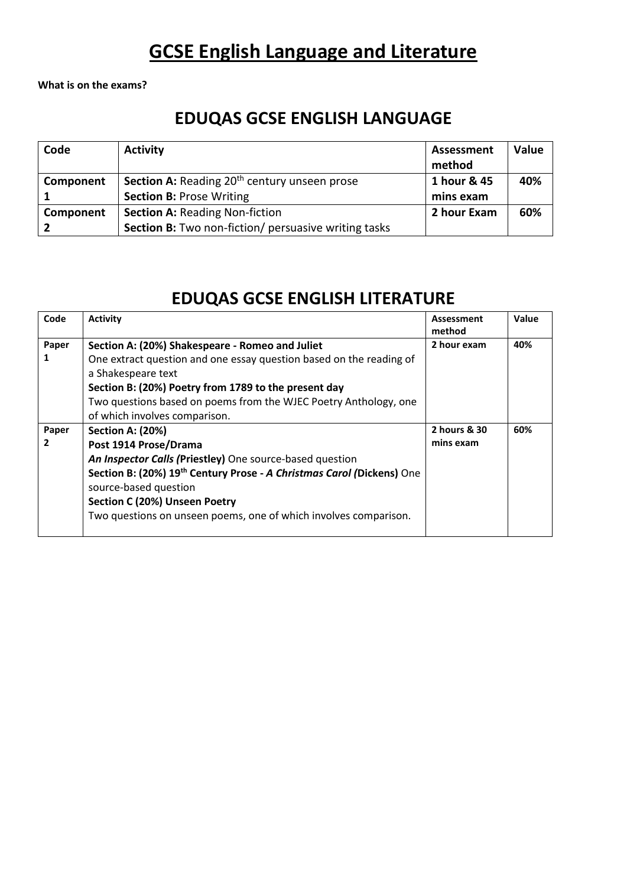### **GCSE English Language and Literature**

**What is on the exams?**

#### **EDUQAS GCSE ENGLISH LANGUAGE**

| Code      | <b>Activity</b>                                                 | <b>Assessment</b><br>method | <b>Value</b> |
|-----------|-----------------------------------------------------------------|-----------------------------|--------------|
| Component | <b>Section A:</b> Reading 20 <sup>th</sup> century unseen prose | 1 hour & 45                 | 40%          |
|           | <b>Section B: Prose Writing</b>                                 | mins exam                   |              |
| Component | <b>Section A: Reading Non-fiction</b>                           | 2 hour Exam                 | 60%          |
|           | <b>Section B:</b> Two non-fiction/ persuasive writing tasks     |                             |              |

#### **EDUQAS GCSE ENGLISH LITERATURE**

| Code  | <b>Activity</b>                                                                                | Assessment<br>method | Value |
|-------|------------------------------------------------------------------------------------------------|----------------------|-------|
| Paper | Section A: (20%) Shakespeare - Romeo and Juliet                                                | 2 hour exam          | 40%   |
|       | One extract question and one essay question based on the reading of                            |                      |       |
|       | a Shakespeare text                                                                             |                      |       |
|       | Section B: (20%) Poetry from 1789 to the present day                                           |                      |       |
|       | Two questions based on poems from the WJEC Poetry Anthology, one                               |                      |       |
|       | of which involves comparison.                                                                  |                      |       |
| Paper | <b>Section A: (20%)</b>                                                                        | 2 hours & 30         | 60%   |
| 2     | Post 1914 Prose/Drama                                                                          | mins exam            |       |
|       | An Inspector Calls (Priestley) One source-based question                                       |                      |       |
|       | Section B: (20%) 19th Century Prose - A Christmas Carol (Dickens) One<br>source-based question |                      |       |
|       | Section C (20%) Unseen Poetry                                                                  |                      |       |
|       | Two questions on unseen poems, one of which involves comparison.                               |                      |       |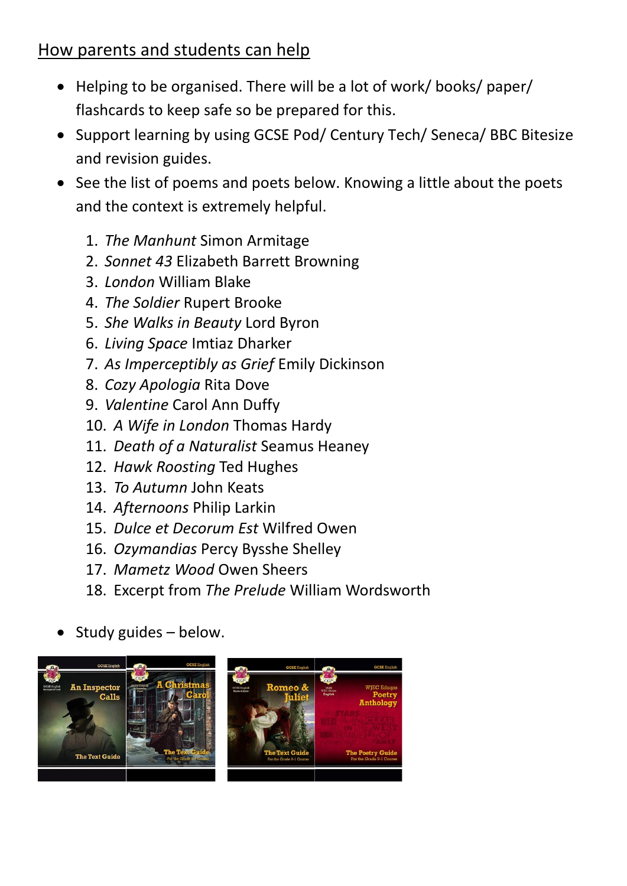#### How parents and students can help

- Helping to be organised. There will be a lot of work/ books/ paper/ flashcards to keep safe so be prepared for this.
- Support learning by using GCSE Pod/ Century Tech/ Seneca/ BBC Bitesize and revision guides.
- See the list of poems and poets below. Knowing a little about the poets and the context is extremely helpful.
	- 1. *The Manhunt* Simon Armitage
	- 2. *Sonnet 43* Elizabeth Barrett Browning
	- 3. *London* William Blake
	- 4. *The Soldier* Rupert Brooke
	- 5. *She Walks in Beauty* Lord Byron
	- 6. *Living Space* Imtiaz Dharker
	- 7. *As Imperceptibly as Grief* Emily Dickinson
	- 8. *Cozy Apologia* Rita Dove
	- 9. *Valentine* Carol Ann Duffy
	- 10. *A Wife in London* Thomas Hardy
	- 11. *Death of a Naturalist* Seamus Heaney
	- 12. *Hawk Roosting* Ted Hughes
	- 13. *To Autumn* John Keats
	- 14. *Afternoons* Philip Larkin
	- 15. *Dulce et Decorum Est* Wilfred Owen
	- 16. *Ozymandias* Percy Bysshe Shelley
	- 17. *Mametz Wood* Owen Sheers
	- 18. Excerpt from *The Prelude* William Wordsworth
- Study guides below.

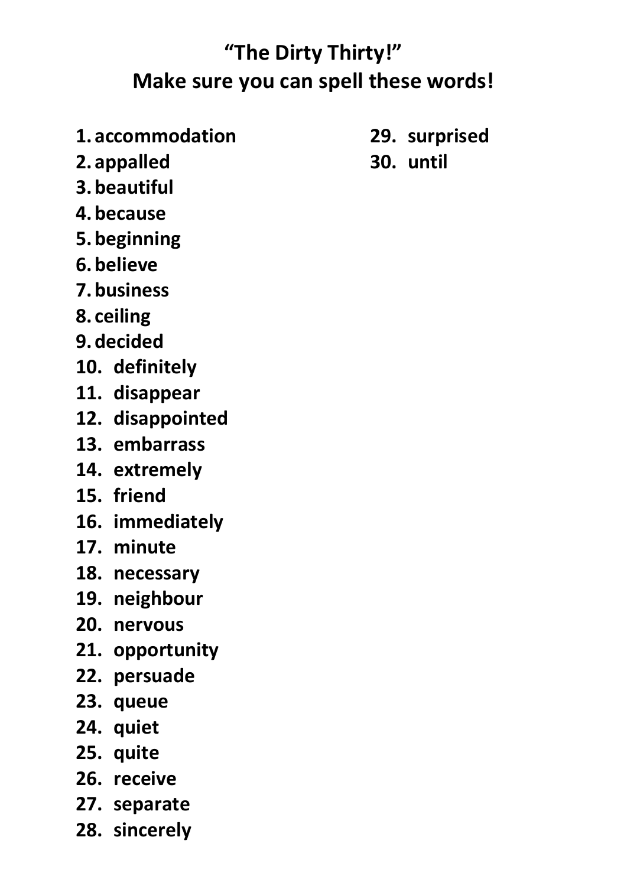# **"The Dirty Thirty!" Make sure you can spell these words!**

- **1.accommodation**
- **2.appalled**
- **3.beautiful**
- **4.because**
- **5.beginning**
- **6.believe**
- **7.business**
- **8. ceiling**
- **9.decided**
- **10. definitely**
- **11. disappear**
- **12. disappointed**
- **13. embarrass**
- **14. extremely**
- **15. friend**
- **16. immediately**
- **17. minute**
- **18. necessary**
- **19. neighbour**
- **20. nervous**
- **21. opportunity**
- **22. persuade**
- **23. queue**
- **24. quiet**
- **25. quite**
- **26. receive**
- **27. separate**
- **28. sincerely**
- **29. surprised**
- **30. until**